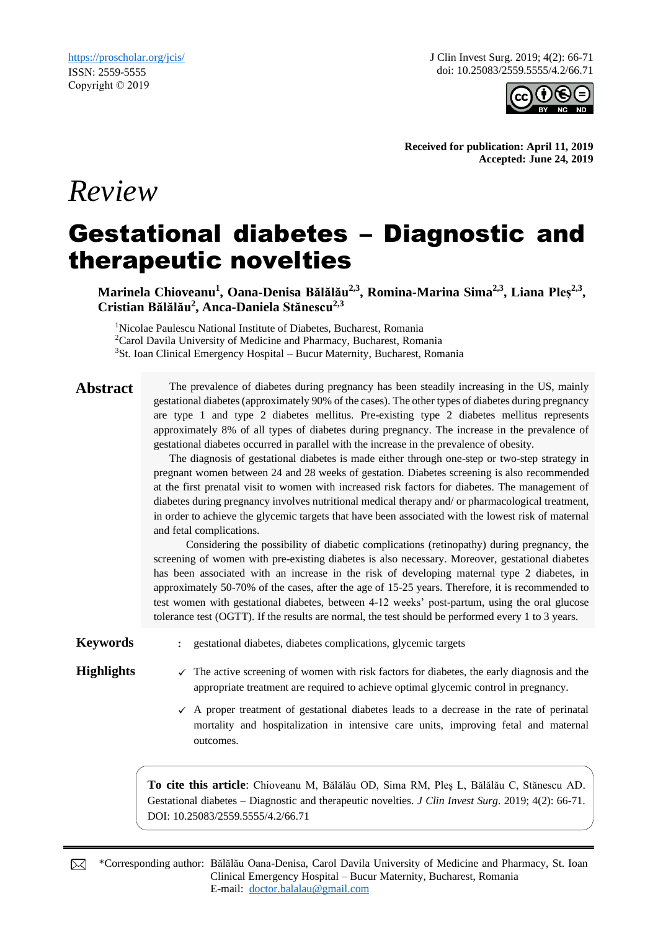*Review*

J Clin Invest Surg. 2019; 4(2): 66-71 doi: 10.25083/2559.5555/4.2/66.71



**Received for publication: April 11, 2019 Accepted: June 24, 2019**

# Gestational diabetes – Diagnostic and therapeutic novelties

**Marinela Chioveanu<sup>1</sup> , Oana-Denisa Bălălău2,3, Romina-Marina Sima2,3, Liana Pleș2,3 , Cristian Bălălău<sup>2</sup> , Anca-Daniela Stănescu2,3**

<sup>1</sup>Nicolae Paulescu National Institute of Diabetes, Bucharest, Romania <sup>2</sup>Carol Davila University of Medicine and Pharmacy, Bucharest, Romania  $3$ St. Ioan Clinical Emergency Hospital – Bucur Maternity, Bucharest, Romania

**Abstract** The prevalence of diabetes during pregnancy has been steadily increasing in the US, mainly gestational diabetes (approximately 90% of the cases). The other types of diabetes during pregnancy are type 1 and type 2 diabetes mellitus. Pre-existing type 2 diabetes mellitus represents approximately 8% of all types of diabetes during pregnancy. The increase in the prevalence of gestational diabetes occurred in parallel with the increase in the prevalence of obesity.

> The diagnosis of gestational diabetes is made either through one-step or two-step strategy in pregnant women between 24 and 28 weeks of gestation. Diabetes screening is also recommended at the first prenatal visit to women with increased risk factors for diabetes. The management of diabetes during pregnancy involves nutritional medical therapy and/ or pharmacological treatment, in order to achieve the glycemic targets that have been associated with the lowest risk of maternal and fetal complications.

> Considering the possibility of diabetic complications (retinopathy) during pregnancy, the screening of women with pre-existing diabetes is also necessary. Moreover, gestational diabetes has been associated with an increase in the risk of developing maternal type 2 diabetes, in approximately 50-70% of the cases, after the age of 15-25 years. Therefore, it is recommended to test women with gestational diabetes, between 4-12 weeks' post-partum, using the oral glucose tolerance test (OGTT). If the results are normal, the test should be performed every 1 to 3 years.

**Keywords** : gestational diabetes, diabetes complications, glycemic targets

- **Highlights**  $\checkmark$  The active screening of women with risk factors for diabetes, the early diagnosis and the appropriate treatment are required to achieve optimal glycemic control in pregnancy.
	- $\checkmark$  A proper treatment of gestational diabetes leads to a decrease in the rate of perinatal mortality and hospitalization in intensive care units, improving fetal and maternal outcomes.

**To cite this article**: Chioveanu M, Bălălău OD, Sima RM, Pleș L, Bălălău C, Stănescu AD. Gestational diabetes – Diagnostic and therapeutic novelties. *J Clin Invest Surg*. 2019; 4(2): 66-71. DOI: 10.25083/2559.5555/4.2/66.71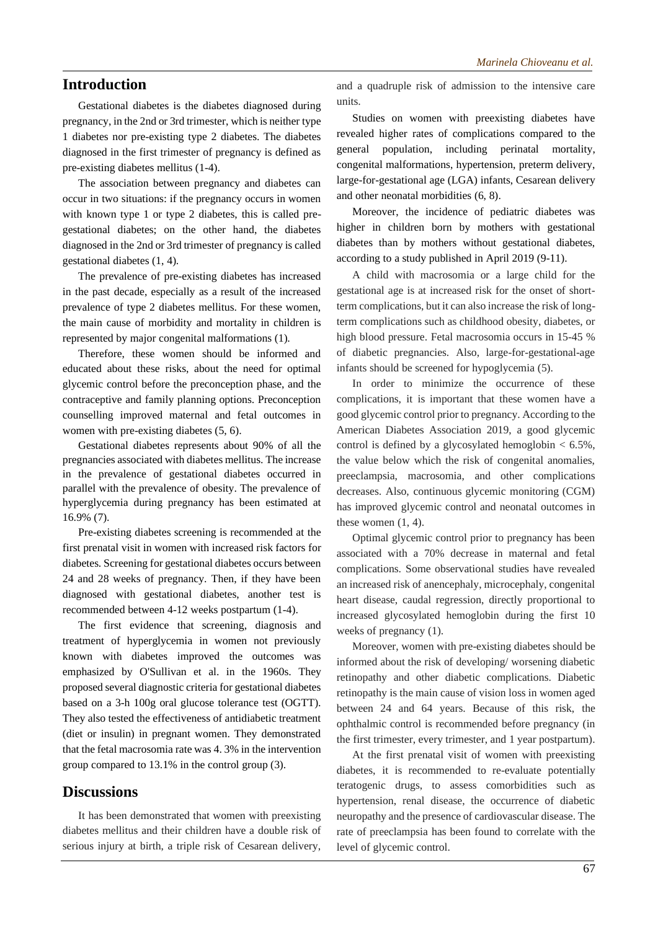# **Introduction**

Gestational diabetes is the diabetes diagnosed during pregnancy, in the 2nd or 3rd trimester, which is neither type 1 diabetes nor pre-existing type 2 diabetes. The diabetes diagnosed in the first trimester of pregnancy is defined as pre-existing diabetes mellitus (1-4).

The association between pregnancy and diabetes can occur in two situations: if the pregnancy occurs in women with known type 1 or type 2 diabetes, this is called pregestational diabetes; on the other hand, the diabetes diagnosed in the 2nd or 3rd trimester of pregnancy is called gestational diabetes (1, 4).

The prevalence of pre-existing diabetes has increased in the past decade, especially as a result of the increased prevalence of type 2 diabetes mellitus. For these women, the main cause of morbidity and mortality in children is represented by major congenital malformations (1).

Therefore, these women should be informed and educated about these risks, about the need for optimal glycemic control before the preconception phase, and the contraceptive and family planning options. Preconception counselling improved maternal and fetal outcomes in women with pre-existing diabetes (5, 6).

Gestational diabetes represents about 90% of all the pregnancies associated with diabetes mellitus. The increase in the prevalence of gestational diabetes occurred in parallel with the prevalence of obesity. The prevalence of hyperglycemia during pregnancy has been estimated at 16.9% (7).

Pre-existing diabetes screening is recommended at the first prenatal visit in women with increased risk factors for diabetes. Screening for gestational diabetes occurs between 24 and 28 weeks of pregnancy. Then, if they have been diagnosed with gestational diabetes, another test is recommended between 4-12 weeks postpartum (1-4).

The first evidence that screening, diagnosis and treatment of hyperglycemia in women not previously known with diabetes improved the outcomes was emphasized by O'Sullivan et al. in the 1960s. They proposed several diagnostic criteria for gestational diabetes based on a 3-h 100g oral glucose tolerance test (OGTT). They also tested the effectiveness of antidiabetic treatment (diet or insulin) in pregnant women. They demonstrated that the fetal macrosomia rate was 4. 3% in the intervention group compared to 13.1% in the control group (3).

# **Discussions**

It has been demonstrated that women with preexisting diabetes mellitus and their children have a double risk of serious injury at birth, a triple risk of Cesarean delivery, and a quadruple risk of admission to the intensive care units.

Studies on women with preexisting diabetes have revealed higher rates of complications compared to the general population, including perinatal mortality, congenital malformations, hypertension, preterm delivery, large-for-gestational age (LGA) infants, Cesarean delivery and other neonatal morbidities (6, 8).

Moreover, the incidence of pediatric diabetes was higher in children born by mothers with gestational diabetes than by mothers without gestational diabetes, according to a study published in April 2019 (9-11).

A child with macrosomia or a large child for the gestational age is at increased risk for the onset of shortterm complications, but it can also increase the risk of longterm complications such as childhood obesity, diabetes, or high blood pressure. Fetal macrosomia occurs in 15-45 % of diabetic pregnancies. Also, large-for-gestational-age infants should be screened for hypoglycemia (5).

In order to minimize the occurrence of these complications, it is important that these women have a good glycemic control prior to pregnancy. According to the American Diabetes Association 2019, a good glycemic control is defined by a glycosylated hemoglobin  $< 6.5\%$ , the value below which the risk of congenital anomalies, preeclampsia, macrosomia, and other complications decreases. Also, continuous glycemic monitoring (CGM) has improved glycemic control and neonatal outcomes in these women (1, 4).

Optimal glycemic control prior to pregnancy has been associated with a 70% decrease in maternal and fetal complications. Some observational studies have revealed an increased risk of anencephaly, microcephaly, congenital heart disease, caudal regression, directly proportional to increased glycosylated hemoglobin during the first 10 weeks of pregnancy (1).

Moreover, women with pre-existing diabetes should be informed about the risk of developing/ worsening diabetic retinopathy and other diabetic complications. Diabetic retinopathy is the main cause of vision loss in women aged between 24 and 64 years. Because of this risk, the ophthalmic control is recommended before pregnancy (in the first trimester, every trimester, and 1 year postpartum).

At the first prenatal visit of women with preexisting diabetes, it is recommended to re-evaluate potentially teratogenic drugs, to assess comorbidities such as hypertension, renal disease, the occurrence of diabetic neuropathy and the presence of cardiovascular disease. The rate of preeclampsia has been found to correlate with the level of glycemic control.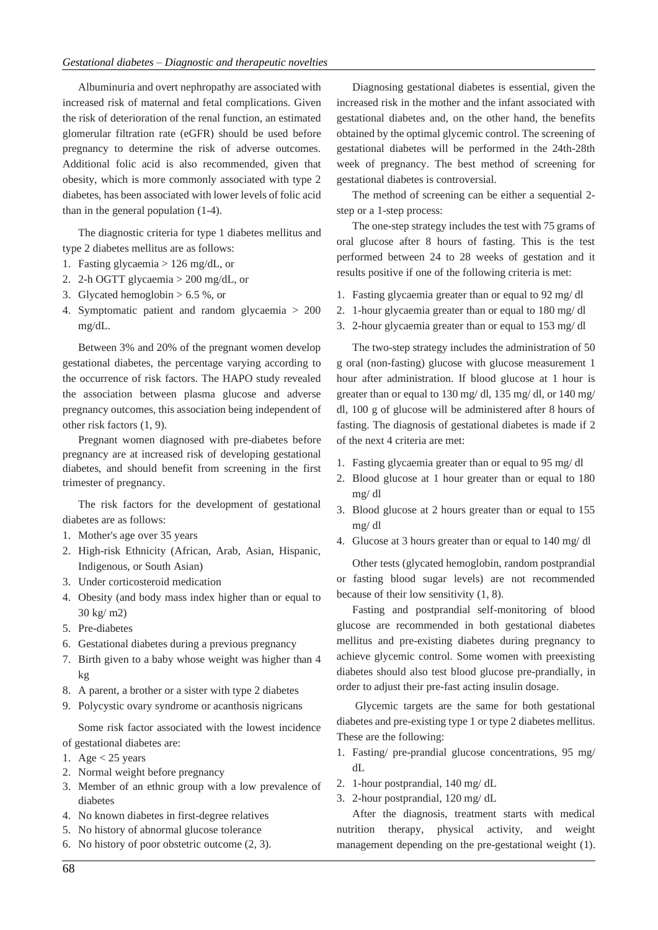Albuminuria and overt nephropathy are associated with increased risk of maternal and fetal complications. Given the risk of deterioration of the renal function, an estimated glomerular filtration rate (eGFR) should be used before pregnancy to determine the risk of adverse outcomes. Additional folic acid is also recommended, given that obesity, which is more commonly associated with type 2 diabetes, has been associated with lower levels of folic acid than in the general population (1-4).

The diagnostic criteria for type 1 diabetes mellitus and type 2 diabetes mellitus are as follows:

- 1. Fasting glycaemia > 126 mg/dL, or
- 2. 2-h OGTT glycaemia > 200 mg/dL, or
- 3. Glycated hemoglobin  $> 6.5$  %, or
- 4. Symptomatic patient and random glycaemia > 200 mg/dL.

Between 3% and 20% of the pregnant women develop gestational diabetes, the percentage varying according to the occurrence of risk factors. The HAPO study revealed the association between plasma glucose and adverse pregnancy outcomes, this association being independent of other risk factors (1, 9).

Pregnant women diagnosed with pre-diabetes before pregnancy are at increased risk of developing gestational diabetes, and should benefit from screening in the first trimester of pregnancy.

The risk factors for the development of gestational diabetes are as follows:

- 1. Mother's age over 35 years
- 2. High-risk Ethnicity (African, Arab, Asian, Hispanic, Indigenous, or South Asian)
- 3. Under corticosteroid medication
- 4. Obesity (and body mass index higher than or equal to 30 kg/ m2)
- 5. Pre-diabetes
- 6. Gestational diabetes during a previous pregnancy
- 7. Birth given to a baby whose weight was higher than 4 kg
- 8. A parent, a brother or a sister with type 2 diabetes
- 9. Polycystic ovary syndrome or acanthosis nigricans

Some risk factor associated with the lowest incidence of gestational diabetes are:

- 1. Age  $< 25$  years
- 2. Normal weight before pregnancy
- 3. Member of an ethnic group with a low prevalence of diabetes
- 4. No known diabetes in first-degree relatives
- 5. No history of abnormal glucose tolerance
- 6. No history of poor obstetric outcome (2, 3).

Diagnosing gestational diabetes is essential, given the increased risk in the mother and the infant associated with gestational diabetes and, on the other hand, the benefits obtained by the optimal glycemic control. The screening of gestational diabetes will be performed in the 24th-28th week of pregnancy. The best method of screening for gestational diabetes is controversial.

The method of screening can be either a sequential 2 step or a 1-step process:

The one-step strategy includes the test with 75 grams of oral glucose after 8 hours of fasting. This is the test performed between 24 to 28 weeks of gestation and it results positive if one of the following criteria is met:

- 1. Fasting glycaemia greater than or equal to 92 mg/ dl
- 2. 1-hour glycaemia greater than or equal to 180 mg/ dl
- 3. 2-hour glycaemia greater than or equal to 153 mg/ dl

The two-step strategy includes the administration of 50 g oral (non-fasting) glucose with glucose measurement 1 hour after administration. If blood glucose at 1 hour is greater than or equal to 130 mg/ dl, 135 mg/ dl, or 140 mg/ dl, 100 g of glucose will be administered after 8 hours of fasting. The diagnosis of gestational diabetes is made if 2 of the next 4 criteria are met:

- 1. Fasting glycaemia greater than or equal to 95 mg/ dl
- 2. Blood glucose at 1 hour greater than or equal to 180 mg/ dl
- 3. Blood glucose at 2 hours greater than or equal to 155 mg/ dl
- 4. Glucose at 3 hours greater than or equal to 140 mg/ dl

Other tests (glycated hemoglobin, random postprandial or fasting blood sugar levels) are not recommended because of their low sensitivity (1, 8).

Fasting and postprandial self-monitoring of blood glucose are recommended in both gestational diabetes mellitus and pre-existing diabetes during pregnancy to achieve glycemic control. Some women with preexisting diabetes should also test blood glucose pre-prandially, in order to adjust their pre-fast acting insulin dosage.

Glycemic targets are the same for both gestational diabetes and pre-existing type 1 or type 2 diabetes mellitus. These are the following:

- 1. Fasting/ pre-prandial glucose concentrations, 95 mg/ dL
- 2. 1-hour postprandial, 140 mg/ dL
- 3. 2-hour postprandial, 120 mg/ dL

After the diagnosis, treatment starts with medical nutrition therapy, physical activity, and weight management depending on the pre-gestational weight (1).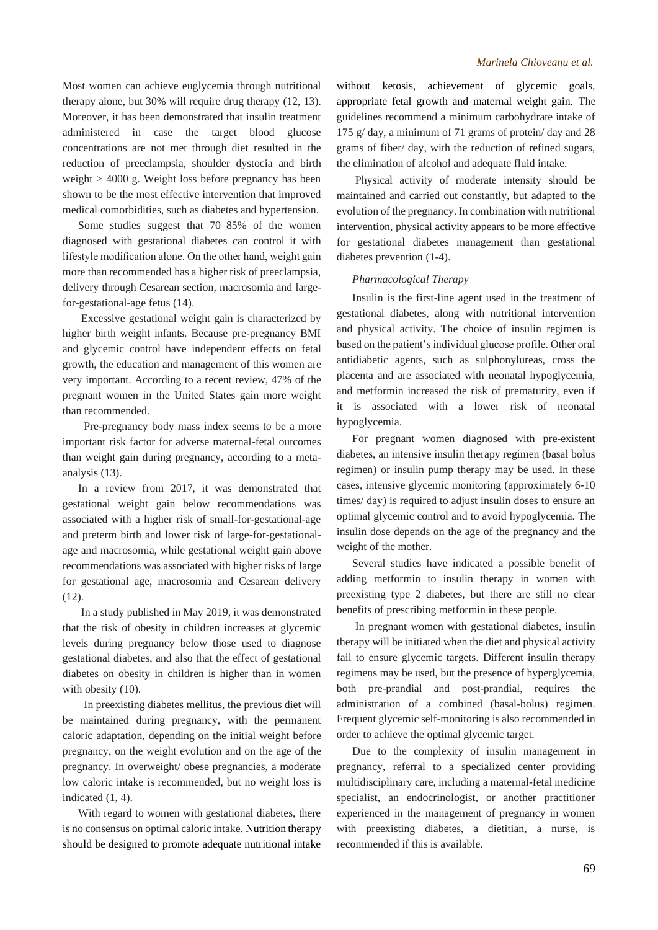Most women can achieve euglycemia through nutritional therapy alone, but 30% will require drug therapy (12, 13). Moreover, it has been demonstrated that insulin treatment administered in case the target blood glucose concentrations are not met through diet resulted in the reduction of preeclampsia, shoulder dystocia and birth weight > 4000 g. Weight loss before pregnancy has been shown to be the most effective intervention that improved medical comorbidities, such as diabetes and hypertension.

Some studies suggest that 70–85% of the women diagnosed with gestational diabetes can control it with lifestyle modification alone. On the other hand, weight gain more than recommended has a higher risk of preeclampsia, delivery through Cesarean section, macrosomia and largefor-gestational-age fetus (14).

Excessive gestational weight gain is characterized by higher birth weight infants. Because pre-pregnancy BMI and glycemic control have independent effects on fetal growth, the education and management of this women are very important. According to a recent review, 47% of the pregnant women in the United States gain more weight than recommended.

 Pre-pregnancy body mass index seems to be a more important risk factor for adverse maternal-fetal outcomes than weight gain during pregnancy, according to a metaanalysis (13).

In a review from 2017, it was demonstrated that gestational weight gain below recommendations was associated with a higher risk of small-for-gestational-age and preterm birth and lower risk of large-for-gestationalage and macrosomia, while gestational weight gain above recommendations was associated with higher risks of large for gestational age, macrosomia and Cesarean delivery (12).

In a study published in May 2019, it was demonstrated that the risk of obesity in children increases at glycemic levels during pregnancy below those used to diagnose gestational diabetes, and also that the effect of gestational diabetes on obesity in children is higher than in women with obesity  $(10)$ .

 In preexisting diabetes mellitus, the previous diet will be maintained during pregnancy, with the permanent caloric adaptation, depending on the initial weight before pregnancy, on the weight evolution and on the age of the pregnancy. In overweight/ obese pregnancies, a moderate low caloric intake is recommended, but no weight loss is indicated (1, 4).

With regard to women with gestational diabetes, there is no consensus on optimal caloric intake. Nutrition therapy should be designed to promote adequate nutritional intake without ketosis, achievement of glycemic goals, appropriate fetal growth and maternal weight gain. The guidelines recommend a minimum carbohydrate intake of 175 g/ day, a minimum of 71 grams of protein/ day and 28 grams of fiber/ day, with the reduction of refined sugars, the elimination of alcohol and adequate fluid intake.

Physical activity of moderate intensity should be maintained and carried out constantly, but adapted to the evolution of the pregnancy. In combination with nutritional intervention, physical activity appears to be more effective for gestational diabetes management than gestational diabetes prevention (1-4).

### *Pharmacological Therapy*

Insulin is the first-line agent used in the treatment of gestational diabetes, along with nutritional intervention and physical activity. The choice of insulin regimen is based on the patient's individual glucose profile. Other oral antidiabetic agents, such as sulphonylureas, cross the placenta and are associated with neonatal hypoglycemia, and metformin increased the risk of prematurity, even if it is associated with a lower risk of neonatal hypoglycemia.

For pregnant women diagnosed with pre-existent diabetes, an intensive insulin therapy regimen (basal bolus regimen) or insulin pump therapy may be used. In these cases, intensive glycemic monitoring (approximately 6-10 times/ day) is required to adjust insulin doses to ensure an optimal glycemic control and to avoid hypoglycemia. The insulin dose depends on the age of the pregnancy and the weight of the mother.

Several studies have indicated a possible benefit of adding metformin to insulin therapy in women with preexisting type 2 diabetes, but there are still no clear benefits of prescribing metformin in these people.

In pregnant women with gestational diabetes, insulin therapy will be initiated when the diet and physical activity fail to ensure glycemic targets. Different insulin therapy regimens may be used, but the presence of hyperglycemia, both pre-prandial and post-prandial, requires the administration of a combined (basal-bolus) regimen. Frequent glycemic self-monitoring is also recommended in order to achieve the optimal glycemic target.

Due to the complexity of insulin management in pregnancy, referral to a specialized center providing multidisciplinary care, including a maternal-fetal medicine specialist, an endocrinologist, or another practitioner experienced in the management of pregnancy in women with preexisting diabetes, a dietitian, a nurse, is recommended if this is available.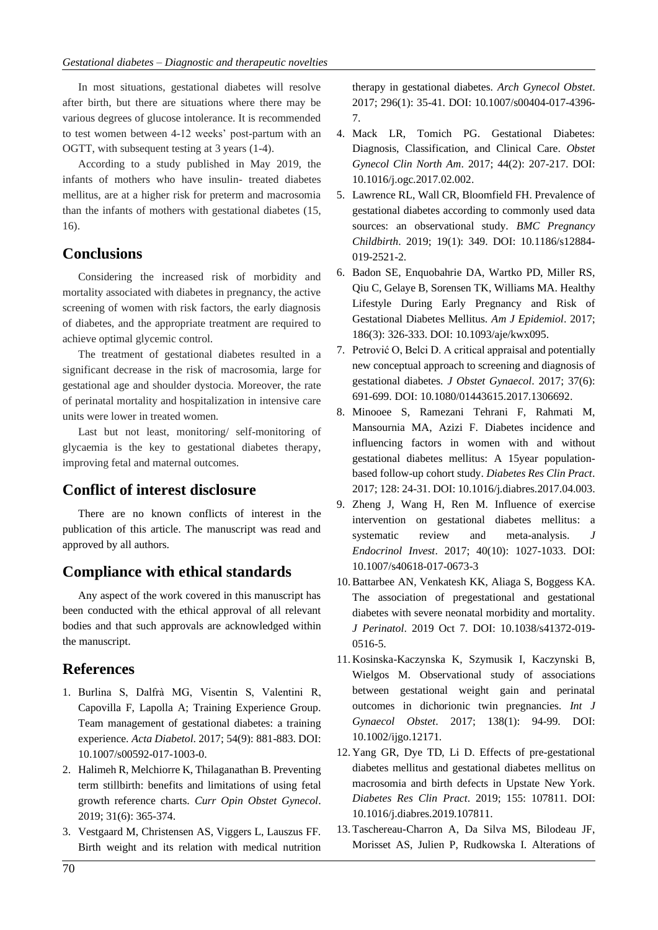In most situations, gestational diabetes will resolve after birth, but there are situations where there may be various degrees of glucose intolerance. It is recommended to test women between 4-12 weeks' post-partum with an OGTT, with subsequent testing at 3 years (1-4).

According to a study published in May 2019, the infants of mothers who have insulin- treated diabetes mellitus, are at a higher risk for preterm and macrosomia than the infants of mothers with gestational diabetes (15, 16).

# **Conclusions**

Considering the increased risk of morbidity and mortality associated with diabetes in pregnancy, the active screening of women with risk factors, the early diagnosis of diabetes, and the appropriate treatment are required to achieve optimal glycemic control.

The treatment of gestational diabetes resulted in a significant decrease in the risk of macrosomia, large for gestational age and shoulder dystocia. Moreover, the rate of perinatal mortality and hospitalization in intensive care units were lower in treated women.

Last but not least, monitoring/ self-monitoring of glycaemia is the key to gestational diabetes therapy, improving fetal and maternal outcomes.

# **Conflict of interest disclosure**

There are no known conflicts of interest in the publication of this article. The manuscript was read and approved by all authors.

# **Compliance with ethical standards**

Any aspect of the work covered in this manuscript has been conducted with the ethical approval of all relevant bodies and that such approvals are acknowledged within the manuscript.

# **References**

- 1. Burlina S, Dalfrà MG, Visentin S, Valentini R, Capovilla F, Lapolla A; Training Experience Group. Team management of gestational diabetes: a training experience. *Acta Diabetol*. 2017; 54(9): 881-883. DOI: 10.1007/s00592-017-1003-0.
- 2. Halimeh R, Melchiorre K, Thilaganathan B. Preventing term stillbirth: benefits and limitations of using fetal growth reference charts. *Curr Opin Obstet Gynecol*. 2019; 31(6): 365-374.
- 3. Vestgaard M, Christensen AS, Viggers L, Lauszus FF. Birth weight and its relation with medical nutrition

therapy in gestational diabetes. *Arch Gynecol Obstet*. 2017; 296(1): 35-41. DOI: 10.1007/s00404-017-4396- 7.

- 4. Mack LR, Tomich PG. Gestational Diabetes: Diagnosis, Classification, and Clinical Care. *Obstet Gynecol Clin North Am*. 2017; 44(2): 207-217. DOI: 10.1016/j.ogc.2017.02.002.
- 5. Lawrence RL, Wall CR, Bloomfield FH. Prevalence of gestational diabetes according to commonly used data sources: an observational study. *BMC Pregnancy Childbirth*. 2019; 19(1): 349. DOI: 10.1186/s12884- 019-2521-2.
- 6. Badon SE, Enquobahrie DA, Wartko PD, Miller RS, Qiu C, Gelaye B, Sorensen TK, Williams MA. Healthy Lifestyle During Early Pregnancy and Risk of Gestational Diabetes Mellitus. *Am J Epidemiol*. 2017; 186(3): 326-333. DOI: 10.1093/aje/kwx095.
- 7. Petrović O, Belci D. A critical appraisal and potentially new conceptual approach to screening and diagnosis of gestational diabetes. *J Obstet Gynaecol*. 2017; 37(6): 691-699. DOI: 10.1080/01443615.2017.1306692.
- 8. Minooee S, Ramezani Tehrani F, Rahmati M, Mansournia MA, Azizi F. Diabetes incidence and influencing factors in women with and without gestational diabetes mellitus: A 15year populationbased follow-up cohort study. *Diabetes Res Clin Pract*. 2017; 128: 24-31. DOI: 10.1016/j.diabres.2017.04.003.
- 9. Zheng J, Wang H, Ren M. Influence of exercise intervention on gestational diabetes mellitus: a systematic review and meta-analysis. *J Endocrinol Invest*. 2017; 40(10): 1027-1033. DOI: 10.1007/s40618-017-0673-3
- 10. Battarbee AN, Venkatesh KK, Aliaga S, Boggess KA. The association of pregestational and gestational diabetes with severe neonatal morbidity and mortality. *J Perinatol*. 2019 Oct 7. DOI: 10.1038/s41372-019- 0516-5.
- 11. Kosinska-Kaczynska K, Szymusik I, Kaczynski B, Wielgos M. Observational study of associations between gestational weight gain and perinatal outcomes in dichorionic twin pregnancies. *Int J Gynaecol Obstet*. 2017; 138(1): 94-99. DOI: 10.1002/ijgo.12171.
- 12. Yang GR, Dye TD, Li D. Effects of pre-gestational diabetes mellitus and gestational diabetes mellitus on macrosomia and birth defects in Upstate New York. *Diabetes Res Clin Pract*. 2019; 155: 107811. DOI: 10.1016/j.diabres.2019.107811.
- 13. Taschereau-Charron A, Da Silva MS, Bilodeau JF, Morisset AS, Julien P, Rudkowska I. Alterations of